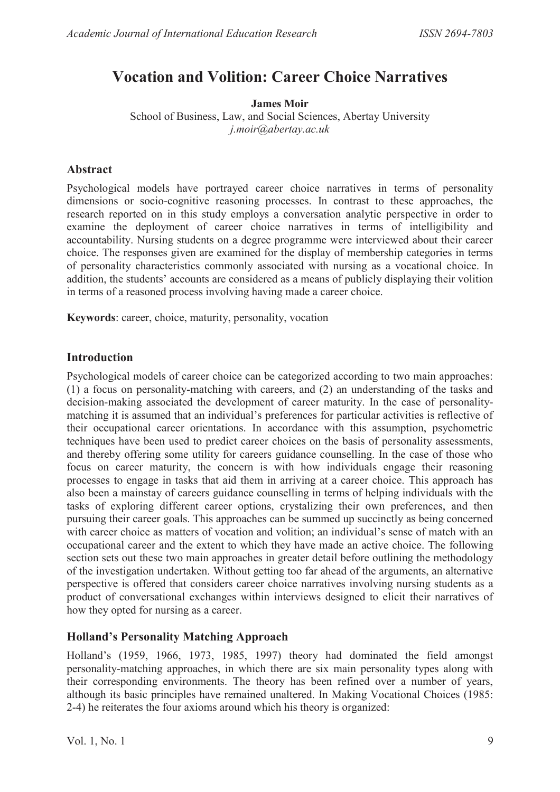# **Vocation and Volition: Career Choice Narratives**

**James Moir**  School of Business, Law, and Social Sciences, Abertay University *j.moir@abertay.ac.uk* 

# **Abstract**

Psychological models have portrayed career choice narratives in terms of personality dimensions or socio-cognitive reasoning processes. In contrast to these approaches, the research reported on in this study employs a conversation analytic perspective in order to examine the deployment of career choice narratives in terms of intelligibility and accountability. Nursing students on a degree programme were interviewed about their career choice. The responses given are examined for the display of membership categories in terms of personality characteristics commonly associated with nursing as a vocational choice. In addition, the students' accounts are considered as a means of publicly displaying their volition in terms of a reasoned process involving having made a career choice.

**Keywords**: career, choice, maturity, personality, vocation

# **Introduction**

Psychological models of career choice can be categorized according to two main approaches: (1) a focus on personality-matching with careers, and (2) an understanding of the tasks and decision-making associated the development of career maturity. In the case of personalitymatching it is assumed that an individual's preferences for particular activities is reflective of their occupational career orientations. In accordance with this assumption, psychometric techniques have been used to predict career choices on the basis of personality assessments, and thereby offering some utility for careers guidance counselling. In the case of those who focus on career maturity, the concern is with how individuals engage their reasoning processes to engage in tasks that aid them in arriving at a career choice. This approach has also been a mainstay of careers guidance counselling in terms of helping individuals with the tasks of exploring different career options, crystalizing their own preferences, and then pursuing their career goals. This approaches can be summed up succinctly as being concerned with career choice as matters of vocation and volition; an individual's sense of match with an occupational career and the extent to which they have made an active choice. The following section sets out these two main approaches in greater detail before outlining the methodology of the investigation undertaken. Without getting too far ahead of the arguments, an alternative perspective is offered that considers career choice narratives involving nursing students as a product of conversational exchanges within interviews designed to elicit their narratives of how they opted for nursing as a career.

# **Holland's Personality Matching Approach**

Holland's (1959, 1966, 1973, 1985, 1997) theory had dominated the field amongst personality-matching approaches, in which there are six main personality types along with their corresponding environments. The theory has been refined over a number of years, although its basic principles have remained unaltered. In Making Vocational Choices (1985: 2-4) he reiterates the four axioms around which his theory is organized: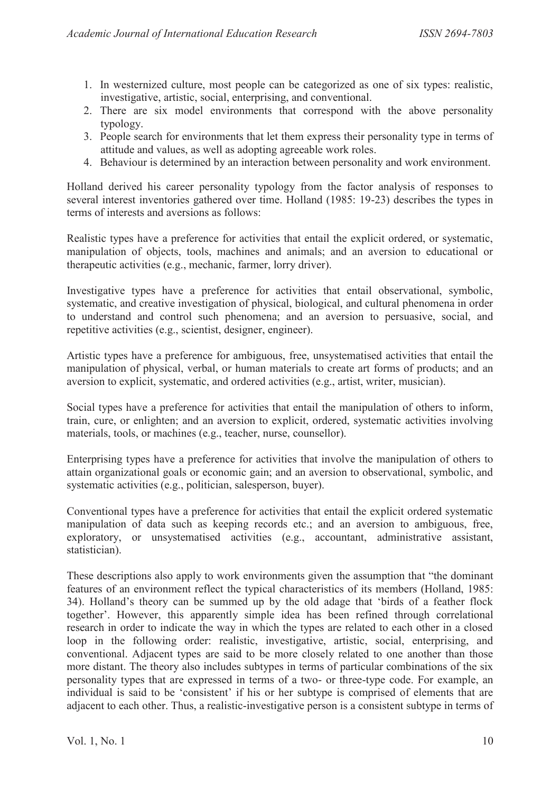- 1. In westernized culture, most people can be categorized as one of six types: realistic, investigative, artistic, social, enterprising, and conventional.
- 2. There are six model environments that correspond with the above personality typology.
- 3. People search for environments that let them express their personality type in terms of attitude and values, as well as adopting agreeable work roles.
- 4. Behaviour is determined by an interaction between personality and work environment.

Holland derived his career personality typology from the factor analysis of responses to several interest inventories gathered over time. Holland (1985: 19-23) describes the types in terms of interests and aversions as follows:

Realistic types have a preference for activities that entail the explicit ordered, or systematic, manipulation of objects, tools, machines and animals; and an aversion to educational or therapeutic activities (e.g., mechanic, farmer, lorry driver).

Investigative types have a preference for activities that entail observational, symbolic, systematic, and creative investigation of physical, biological, and cultural phenomena in order to understand and control such phenomena; and an aversion to persuasive, social, and repetitive activities (e.g., scientist, designer, engineer).

Artistic types have a preference for ambiguous, free, unsystematised activities that entail the manipulation of physical, verbal, or human materials to create art forms of products; and an aversion to explicit, systematic, and ordered activities (e.g., artist, writer, musician).

Social types have a preference for activities that entail the manipulation of others to inform, train, cure, or enlighten; and an aversion to explicit, ordered, systematic activities involving materials, tools, or machines (e.g., teacher, nurse, counsellor).

Enterprising types have a preference for activities that involve the manipulation of others to attain organizational goals or economic gain; and an aversion to observational, symbolic, and systematic activities (e.g., politician, salesperson, buyer).

Conventional types have a preference for activities that entail the explicit ordered systematic manipulation of data such as keeping records etc.; and an aversion to ambiguous, free, exploratory, or unsystematised activities (e.g., accountant, administrative assistant, statistician).

These descriptions also apply to work environments given the assumption that "the dominant features of an environment reflect the typical characteristics of its members (Holland, 1985: 34). Holland's theory can be summed up by the old adage that 'birds of a feather flock together'. However, this apparently simple idea has been refined through correlational research in order to indicate the way in which the types are related to each other in a closed loop in the following order: realistic, investigative, artistic, social, enterprising, and conventional. Adjacent types are said to be more closely related to one another than those more distant. The theory also includes subtypes in terms of particular combinations of the six personality types that are expressed in terms of a two- or three-type code. For example, an individual is said to be 'consistent' if his or her subtype is comprised of elements that are adjacent to each other. Thus, a realistic-investigative person is a consistent subtype in terms of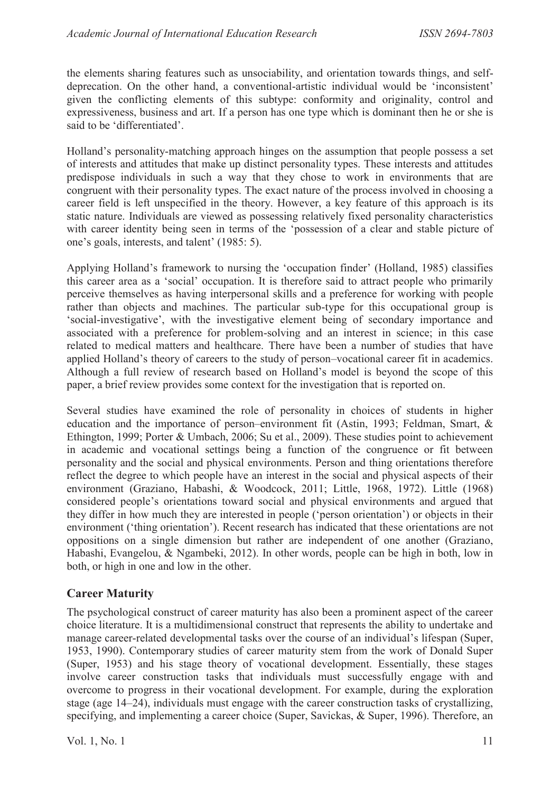the elements sharing features such as unsociability, and orientation towards things, and selfdeprecation. On the other hand, a conventional-artistic individual would be 'inconsistent' given the conflicting elements of this subtype: conformity and originality, control and expressiveness, business and art. If a person has one type which is dominant then he or she is said to be 'differentiated'.

Holland's personality-matching approach hinges on the assumption that people possess a set of interests and attitudes that make up distinct personality types. These interests and attitudes predispose individuals in such a way that they chose to work in environments that are congruent with their personality types. The exact nature of the process involved in choosing a career field is left unspecified in the theory. However, a key feature of this approach is its static nature. Individuals are viewed as possessing relatively fixed personality characteristics with career identity being seen in terms of the 'possession of a clear and stable picture of one's goals, interests, and talent' (1985: 5).

Applying Holland's framework to nursing the 'occupation finder' (Holland, 1985) classifies this career area as a 'social' occupation. It is therefore said to attract people who primarily perceive themselves as having interpersonal skills and a preference for working with people rather than objects and machines. The particular sub-type for this occupational group is 'social-investigative', with the investigative element being of secondary importance and associated with a preference for problem-solving and an interest in science; in this case related to medical matters and healthcare. There have been a number of studies that have applied Holland's theory of careers to the study of person–vocational career fit in academics. Although a full review of research based on Holland's model is beyond the scope of this paper, a brief review provides some context for the investigation that is reported on.

Several studies have examined the role of personality in choices of students in higher education and the importance of person–environment fit (Astin, 1993; Feldman, Smart, & Ethington, 1999; Porter & Umbach, 2006; Su et al., 2009). These studies point to achievement in academic and vocational settings being a function of the congruence or fit between personality and the social and physical environments. Person and thing orientations therefore reflect the degree to which people have an interest in the social and physical aspects of their environment (Graziano, Habashi, & Woodcock, 2011; Little, 1968, 1972). Little (1968) considered people's orientations toward social and physical environments and argued that they differ in how much they are interested in people ('person orientation') or objects in their environment ('thing orientation'). Recent research has indicated that these orientations are not oppositions on a single dimension but rather are independent of one another (Graziano, Habashi, Evangelou, & Ngambeki, 2012). In other words, people can be high in both, low in both, or high in one and low in the other.

# **Career Maturity**

The psychological construct of career maturity has also been a prominent aspect of the career choice literature. It is a multidimensional construct that represents the ability to undertake and manage career-related developmental tasks over the course of an individual's lifespan (Super, 1953, 1990). Contemporary studies of career maturity stem from the work of Donald Super (Super, 1953) and his stage theory of vocational development. Essentially, these stages involve career construction tasks that individuals must successfully engage with and overcome to progress in their vocational development. For example, during the exploration stage (age 14–24), individuals must engage with the career construction tasks of crystallizing, specifying, and implementing a career choice (Super, Savickas, & Super, 1996). Therefore, an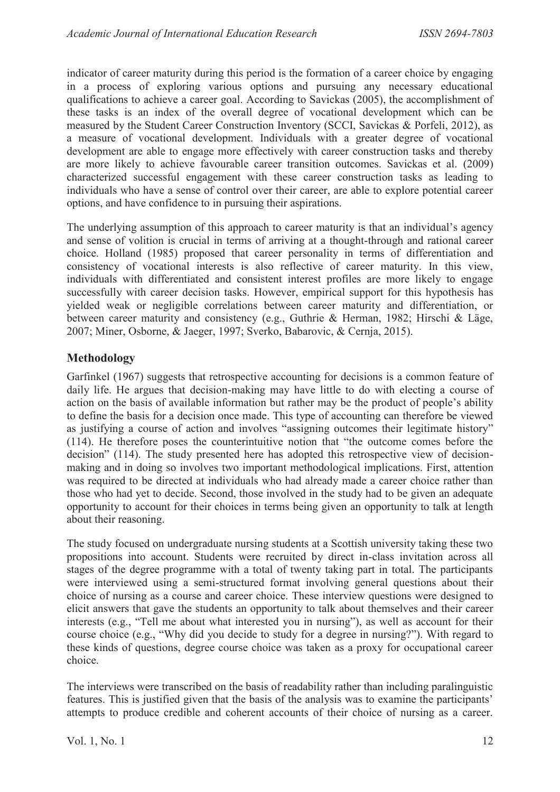indicator of career maturity during this period is the formation of a career choice by engaging in a process of exploring various options and pursuing any necessary educational qualifications to achieve a career goal. According to Savickas (2005), the accomplishment of these tasks is an index of the overall degree of vocational development which can be measured by the Student Career Construction Inventory (SCCI, Savickas & Porfeli, 2012), as a measure of vocational development. Individuals with a greater degree of vocational development are able to engage more effectively with career construction tasks and thereby are more likely to achieve favourable career transition outcomes. Savickas et al. (2009) characterized successful engagement with these career construction tasks as leading to individuals who have a sense of control over their career, are able to explore potential career options, and have confidence to in pursuing their aspirations.

The underlying assumption of this approach to career maturity is that an individual's agency and sense of volition is crucial in terms of arriving at a thought-through and rational career choice. Holland (1985) proposed that career personality in terms of differentiation and consistency of vocational interests is also reflective of career maturity. In this view, individuals with differentiated and consistent interest profiles are more likely to engage successfully with career decision tasks. However, empirical support for this hypothesis has yielded weak or negligible correlations between career maturity and differentiation, or between career maturity and consistency (e.g., Guthrie & Herman, 1982; Hirschi & Läge, 2007; Miner, Osborne, & Jaeger, 1997; Sverko, Babarovic, & Cernja, 2015).

# **Methodology**

Garfinkel (1967) suggests that retrospective accounting for decisions is a common feature of daily life. He argues that decision-making may have little to do with electing a course of action on the basis of available information but rather may be the product of people's ability to define the basis for a decision once made. This type of accounting can therefore be viewed as justifying a course of action and involves "assigning outcomes their legitimate history" (114). He therefore poses the counterintuitive notion that "the outcome comes before the decision" (114). The study presented here has adopted this retrospective view of decisionmaking and in doing so involves two important methodological implications. First, attention was required to be directed at individuals who had already made a career choice rather than those who had yet to decide. Second, those involved in the study had to be given an adequate opportunity to account for their choices in terms being given an opportunity to talk at length about their reasoning.

The study focused on undergraduate nursing students at a Scottish university taking these two propositions into account. Students were recruited by direct in-class invitation across all stages of the degree programme with a total of twenty taking part in total. The participants were interviewed using a semi-structured format involving general questions about their choice of nursing as a course and career choice. These interview questions were designed to elicit answers that gave the students an opportunity to talk about themselves and their career interests (e.g., "Tell me about what interested you in nursing"), as well as account for their course choice (e.g., "Why did you decide to study for a degree in nursing?"). With regard to these kinds of questions, degree course choice was taken as a proxy for occupational career choice.

The interviews were transcribed on the basis of readability rather than including paralinguistic features. This is justified given that the basis of the analysis was to examine the participants' attempts to produce credible and coherent accounts of their choice of nursing as a career.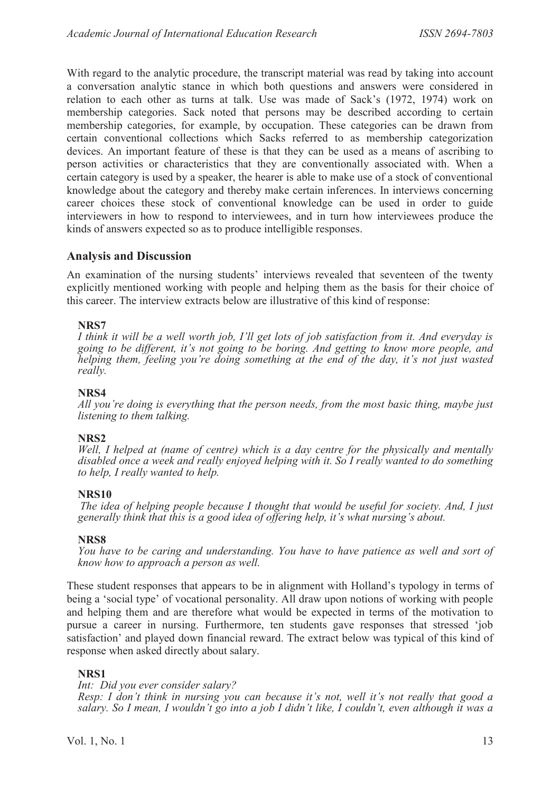With regard to the analytic procedure, the transcript material was read by taking into account a conversation analytic stance in which both questions and answers were considered in relation to each other as turns at talk. Use was made of Sack's (1972, 1974) work on membership categories. Sack noted that persons may be described according to certain membership categories, for example, by occupation. These categories can be drawn from certain conventional collections which Sacks referred to as membership categorization devices. An important feature of these is that they can be used as a means of ascribing to person activities or characteristics that they are conventionally associated with. When a certain category is used by a speaker, the hearer is able to make use of a stock of conventional knowledge about the category and thereby make certain inferences. In interviews concerning career choices these stock of conventional knowledge can be used in order to guide interviewers in how to respond to interviewees, and in turn how interviewees produce the kinds of answers expected so as to produce intelligible responses.

#### **Analysis and Discussion**

An examination of the nursing students' interviews revealed that seventeen of the twenty explicitly mentioned working with people and helping them as the basis for their choice of this career. The interview extracts below are illustrative of this kind of response:

#### **NRS7**

*I think it will be a well worth job, I'll get lots of job satisfaction from it. And everyday is going to be different, it's not going to be boring. And getting to know more people, and helping them, feeling you're doing something at the end of the day, it's not just wasted really.* 

#### **NRS4**

*All you're doing is everything that the person needs, from the most basic thing, maybe just listening to them talking.* 

#### **NRS2**

*Well, I helped at (name of centre) which is a day centre for the physically and mentally disabled once a week and really enjoyed helping with it. So I really wanted to do something to help, I really wanted to help.* 

#### **NRS10**

*The idea of helping people because I thought that would be useful for society. And, I just generally think that this is a good idea of offering help, it's what nursing's about.*

#### **NRS8**

*You have to be caring and understanding. You have to have patience as well and sort of know how to approach a person as well.* 

These student responses that appears to be in alignment with Holland's typology in terms of being a 'social type' of vocational personality. All draw upon notions of working with people and helping them and are therefore what would be expected in terms of the motivation to pursue a career in nursing. Furthermore, ten students gave responses that stressed 'job satisfaction' and played down financial reward. The extract below was typical of this kind of response when asked directly about salary.

#### **NRS1**

*Int: Did you ever consider salary?* 

*Resp: I don't think in nursing you can because it's not, well it's not really that good a salary. So I mean, I wouldn't go into a job I didn't like, I couldn't, even although it was a*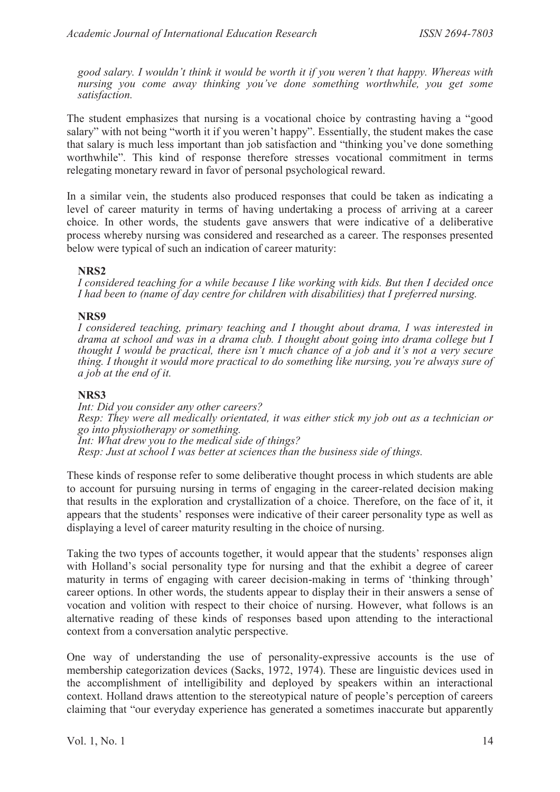*good salary. I wouldn't think it would be worth it if you weren't that happy. Whereas with nursing you come away thinking you've done something worthwhile, you get some satisfaction.* 

The student emphasizes that nursing is a vocational choice by contrasting having a "good salary" with not being "worth it if you weren't happy". Essentially, the student makes the case that salary is much less important than job satisfaction and "thinking you've done something worthwhile". This kind of response therefore stresses vocational commitment in terms relegating monetary reward in favor of personal psychological reward.

In a similar vein, the students also produced responses that could be taken as indicating a level of career maturity in terms of having undertaking a process of arriving at a career choice. In other words, the students gave answers that were indicative of a deliberative process whereby nursing was considered and researched as a career. The responses presented below were typical of such an indication of career maturity:

#### **NRS2**

*I considered teaching for a while because I like working with kids. But then I decided once I had been to (name of day centre for children with disabilities) that I preferred nursing.* 

#### **NRS9**

*I considered teaching, primary teaching and I thought about drama, I was interested in drama at school and was in a drama club. I thought about going into drama college but I thought I would be practical, there isn't much chance of a job and it's not a very secure thing. I thought it would more practical to do something like nursing, you're always sure of a job at the end of it.* 

#### **NRS3**

*Int: Did you consider any other careers? Resp: They were all medically orientated, it was either stick my job out as a technician or go into physiotherapy or something. Int: What drew you to the medical side of things? Resp: Just at school I was better at sciences than the business side of things.* 

These kinds of response refer to some deliberative thought process in which students are able to account for pursuing nursing in terms of engaging in the career-related decision making that results in the exploration and crystallization of a choice. Therefore, on the face of it, it appears that the students' responses were indicative of their career personality type as well as displaying a level of career maturity resulting in the choice of nursing.

Taking the two types of accounts together, it would appear that the students' responses align with Holland's social personality type for nursing and that the exhibit a degree of career maturity in terms of engaging with career decision-making in terms of 'thinking through' career options. In other words, the students appear to display their in their answers a sense of vocation and volition with respect to their choice of nursing. However, what follows is an alternative reading of these kinds of responses based upon attending to the interactional context from a conversation analytic perspective.

One way of understanding the use of personality-expressive accounts is the use of membership categorization devices (Sacks, 1972, 1974). These are linguistic devices used in the accomplishment of intelligibility and deployed by speakers within an interactional context. Holland draws attention to the stereotypical nature of people's perception of careers claiming that "our everyday experience has generated a sometimes inaccurate but apparently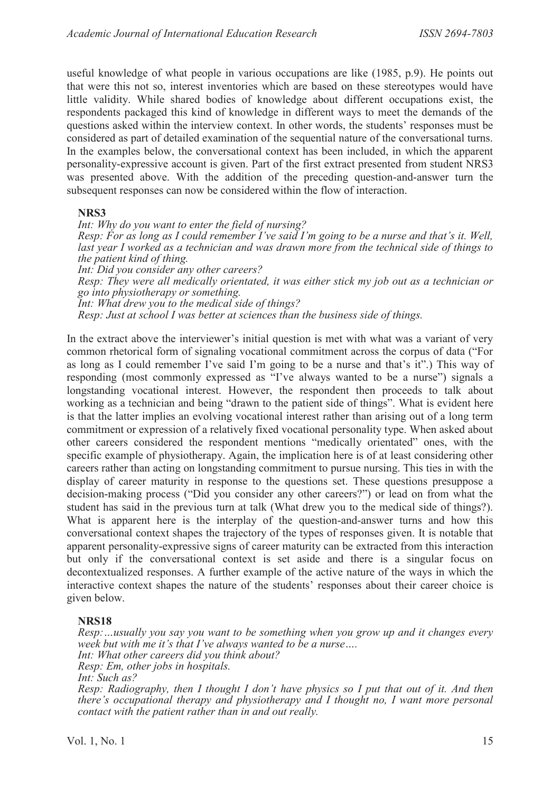useful knowledge of what people in various occupations are like (1985, p.9). He points out that were this not so, interest inventories which are based on these stereotypes would have little validity. While shared bodies of knowledge about different occupations exist, the respondents packaged this kind of knowledge in different ways to meet the demands of the questions asked within the interview context. In other words, the students' responses must be considered as part of detailed examination of the sequential nature of the conversational turns. In the examples below, the conversational context has been included, in which the apparent personality-expressive account is given. Part of the first extract presented from student NRS3 was presented above. With the addition of the preceding question-and-answer turn the subsequent responses can now be considered within the flow of interaction.

#### **NRS3**

*Int: Why do you want to enter the field of nursing? Resp: For as long as I could remember I've said I'm going to be a nurse and that's it. Well,*  last year I worked as a technician and was drawn more from the technical side of things to *the patient kind of thing. Int: Did you consider any other careers? Resp: They were all medically orientated, it was either stick my job out as a technician or go into physiotherapy or something. Int: What drew you to the medical side of things? Resp: Just at school I was better at sciences than the business side of things.* 

In the extract above the interviewer's initial question is met with what was a variant of very common rhetorical form of signaling vocational commitment across the corpus of data ("For as long as I could remember I've said I'm going to be a nurse and that's it".) This way of responding (most commonly expressed as "I've always wanted to be a nurse") signals a longstanding vocational interest. However, the respondent then proceeds to talk about working as a technician and being "drawn to the patient side of things". What is evident here is that the latter implies an evolving vocational interest rather than arising out of a long term commitment or expression of a relatively fixed vocational personality type. When asked about other careers considered the respondent mentions "medically orientated" ones, with the specific example of physiotherapy. Again, the implication here is of at least considering other careers rather than acting on longstanding commitment to pursue nursing. This ties in with the display of career maturity in response to the questions set. These questions presuppose a decision-making process ("Did you consider any other careers?") or lead on from what the student has said in the previous turn at talk (What drew you to the medical side of things?). What is apparent here is the interplay of the question-and-answer turns and how this conversational context shapes the trajectory of the types of responses given. It is notable that apparent personality-expressive signs of career maturity can be extracted from this interaction but only if the conversational context is set aside and there is a singular focus on decontextualized responses. A further example of the active nature of the ways in which the interactive context shapes the nature of the students' responses about their career choice is given below.

#### **NRS18**

*Resp:…usually you say you want to be something when you grow up and it changes every week but with me it's that I've always wanted to be a nurse…. Int: What other careers did you think about? Resp: Em, other jobs in hospitals. Int: Such as? Resp: Radiography, then I thought I don't have physics so I put that out of it. And then there's occupational therapy and physiotherapy and I thought no, I want more personal contact with the patient rather than in and out really.*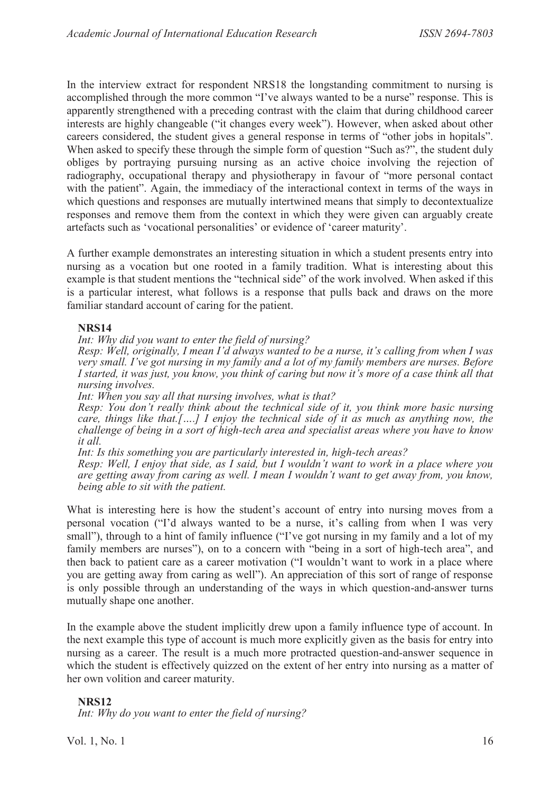In the interview extract for respondent NRS18 the longstanding commitment to nursing is accomplished through the more common "I've always wanted to be a nurse" response. This is apparently strengthened with a preceding contrast with the claim that during childhood career interests are highly changeable ("it changes every week"). However, when asked about other careers considered, the student gives a general response in terms of "other jobs in hopitals". When asked to specify these through the simple form of question "Such as?", the student duly obliges by portraying pursuing nursing as an active choice involving the rejection of radiography, occupational therapy and physiotherapy in favour of "more personal contact with the patient". Again, the immediacy of the interactional context in terms of the ways in which questions and responses are mutually intertwined means that simply to decontextualize responses and remove them from the context in which they were given can arguably create artefacts such as 'vocational personalities' or evidence of 'career maturity'.

A further example demonstrates an interesting situation in which a student presents entry into nursing as a vocation but one rooted in a family tradition. What is interesting about this example is that student mentions the "technical side" of the work involved. When asked if this is a particular interest, what follows is a response that pulls back and draws on the more familiar standard account of caring for the patient.

#### **NRS14**

*Int: Why did you want to enter the field of nursing?* 

*Resp: Well, originally, I mean I'd always wanted to be a nurse, it's calling from when I was very small. I've got nursing in my family and a lot of my family members are nurses. Before I started, it was just, you know, you think of caring but now it's more of a case think all that nursing involves.* 

*Int: When you say all that nursing involves, what is that?* 

*Resp: You don't really think about the technical side of it, you think more basic nursing care, things like that.[….] I enjoy the technical side of it as much as anything now, the challenge of being in a sort of high-tech area and specialist areas where you have to know it all.* 

*Int: Is this something you are particularly interested in, high-tech areas?* 

*Resp: Well, I enjoy that side, as I said, but I wouldn't want to work in a place where you are getting away from caring as well. I mean I wouldn't want to get away from, you know, being able to sit with the patient.* 

What is interesting here is how the student's account of entry into nursing moves from a personal vocation ("I'd always wanted to be a nurse, it's calling from when I was very small"), through to a hint of family influence ("I've got nursing in my family and a lot of my family members are nurses"), on to a concern with "being in a sort of high-tech area", and then back to patient care as a career motivation ("I wouldn't want to work in a place where you are getting away from caring as well"). An appreciation of this sort of range of response is only possible through an understanding of the ways in which question-and-answer turns mutually shape one another.

In the example above the student implicitly drew upon a family influence type of account. In the next example this type of account is much more explicitly given as the basis for entry into nursing as a career. The result is a much more protracted question-and-answer sequence in which the student is effectively quizzed on the extent of her entry into nursing as a matter of her own volition and career maturity.

#### **NRS12**

*Int: Why do you want to enter the field of nursing?*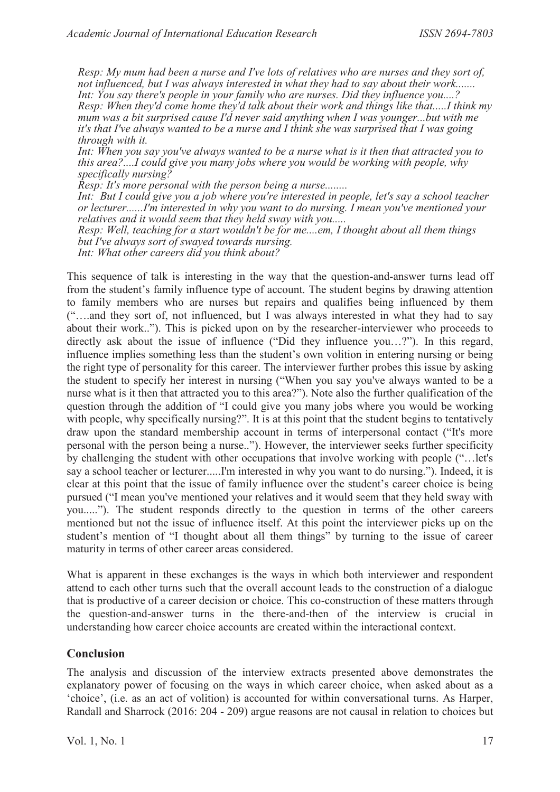*Resp: My mum had been a nurse and I've lots of relatives who are nurses and they sort of, not influenced, but I was always interested in what they had to say about their work....... Int: You say there's people in your family who are nurses. Did they influence you....? Resp: When they'd come home they'd talk about their work and things like that.....I think my mum was a bit surprised cause I'd never said anything when I was younger...but with me it's that I've always wanted to be a nurse and I think she was surprised that I was going through with it.* 

*Int: When you say you've always wanted to be a nurse what is it then that attracted you to this area?....I could give you many jobs where you would be working with people, why specifically nursing?* 

*Resp: It's more personal with the person being a nurse........* 

*Int: But I could give you a job where you're interested in people, let's say a school teacher or lecturer......I'm interested in why you want to do nursing. I mean you've mentioned your relatives and it would seem that they held sway with you.....* 

*Resp: Well, teaching for a start wouldn't be for me....em, I thought about all them things but I've always sort of swayed towards nursing.* 

*Int: What other careers did you think about?* 

This sequence of talk is interesting in the way that the question-and-answer turns lead off from the student's family influence type of account. The student begins by drawing attention to family members who are nurses but repairs and qualifies being influenced by them ("….and they sort of, not influenced, but I was always interested in what they had to say about their work.."). This is picked upon on by the researcher-interviewer who proceeds to directly ask about the issue of influence ("Did they influence you…?"). In this regard, influence implies something less than the student's own volition in entering nursing or being the right type of personality for this career. The interviewer further probes this issue by asking the student to specify her interest in nursing ("When you say you've always wanted to be a nurse what is it then that attracted you to this area?"). Note also the further qualification of the question through the addition of "I could give you many jobs where you would be working with people, why specifically nursing?". It is at this point that the student begins to tentatively draw upon the standard membership account in terms of interpersonal contact ("It's more personal with the person being a nurse.."). However, the interviewer seeks further specificity by challenging the student with other occupations that involve working with people ("…let's say a school teacher or lecturer.....I'm interested in why you want to do nursing."). Indeed, it is clear at this point that the issue of family influence over the student's career choice is being pursued ("I mean you've mentioned your relatives and it would seem that they held sway with you....."). The student responds directly to the question in terms of the other careers mentioned but not the issue of influence itself. At this point the interviewer picks up on the student's mention of "I thought about all them things" by turning to the issue of career maturity in terms of other career areas considered.

What is apparent in these exchanges is the ways in which both interviewer and respondent attend to each other turns such that the overall account leads to the construction of a dialogue that is productive of a career decision or choice. This co-construction of these matters through the question-and-answer turns in the there-and-then of the interview is crucial in understanding how career choice accounts are created within the interactional context.

#### **Conclusion**

The analysis and discussion of the interview extracts presented above demonstrates the explanatory power of focusing on the ways in which career choice, when asked about as a 'choice', (i.e. as an act of volition) is accounted for within conversational turns. As Harper, Randall and Sharrock (2016: 204 - 209) argue reasons are not causal in relation to choices but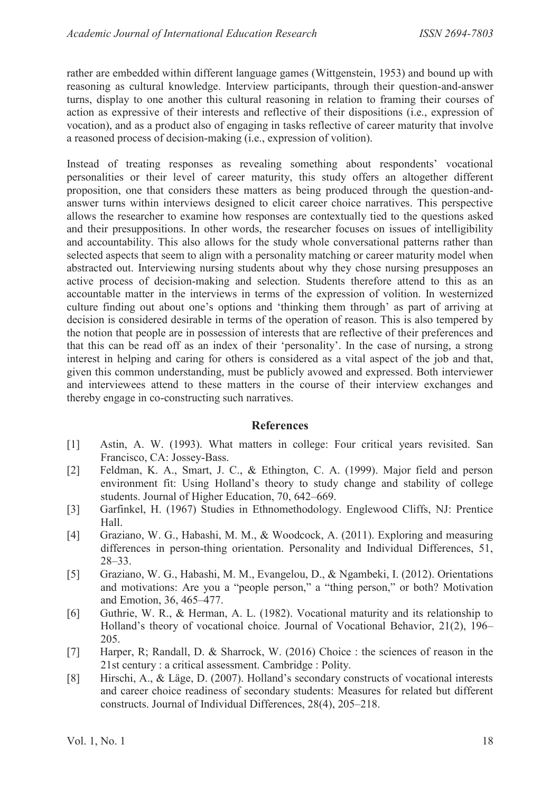rather are embedded within different language games (Wittgenstein, 1953) and bound up with reasoning as cultural knowledge. Interview participants, through their question-and-answer turns, display to one another this cultural reasoning in relation to framing their courses of action as expressive of their interests and reflective of their dispositions (i.e., expression of vocation), and as a product also of engaging in tasks reflective of career maturity that involve a reasoned process of decision-making (i.e., expression of volition).

Instead of treating responses as revealing something about respondents' vocational personalities or their level of career maturity, this study offers an altogether different proposition, one that considers these matters as being produced through the question-andanswer turns within interviews designed to elicit career choice narratives. This perspective allows the researcher to examine how responses are contextually tied to the questions asked and their presuppositions. In other words, the researcher focuses on issues of intelligibility and accountability. This also allows for the study whole conversational patterns rather than selected aspects that seem to align with a personality matching or career maturity model when abstracted out. Interviewing nursing students about why they chose nursing presupposes an active process of decision-making and selection. Students therefore attend to this as an accountable matter in the interviews in terms of the expression of volition. In westernized culture finding out about one's options and 'thinking them through' as part of arriving at decision is considered desirable in terms of the operation of reason. This is also tempered by the notion that people are in possession of interests that are reflective of their preferences and that this can be read off as an index of their 'personality'. In the case of nursing, a strong interest in helping and caring for others is considered as a vital aspect of the job and that, given this common understanding, must be publicly avowed and expressed. Both interviewer and interviewees attend to these matters in the course of their interview exchanges and thereby engage in co-constructing such narratives.

#### **References**

- [1] Astin, A. W. (1993). What matters in college: Four critical years revisited. San Francisco, CA: Jossey-Bass.
- [2] Feldman, K. A., Smart, J. C., & Ethington, C. A. (1999). Major field and person environment fit: Using Holland's theory to study change and stability of college students. Journal of Higher Education, 70, 642–669.
- [3] Garfinkel, H. (1967) Studies in Ethnomethodology. Englewood Cliffs, NJ: Prentice Hall.
- [4] Graziano, W. G., Habashi, M. M., & Woodcock, A. (2011). Exploring and measuring differences in person-thing orientation. Personality and Individual Differences, 51, 28–33.
- [5] Graziano, W. G., Habashi, M. M., Evangelou, D., & Ngambeki, I. (2012). Orientations and motivations: Are you a "people person," a "thing person," or both? Motivation and Emotion, 36, 465–477.
- [6] Guthrie, W. R., & Herman, A. L. (1982). Vocational maturity and its relationship to Holland's theory of vocational choice. Journal of Vocational Behavior, 21(2), 196– 205.
- [7] Harper, R; Randall, D. & Sharrock, W. (2016) Choice : the sciences of reason in the 21st century : a critical assessment. Cambridge : Polity.
- [8] Hirschi, A., & Läge, D. (2007). Holland's secondary constructs of vocational interests and career choice readiness of secondary students: Measures for related but different constructs. Journal of Individual Differences, 28(4), 205–218.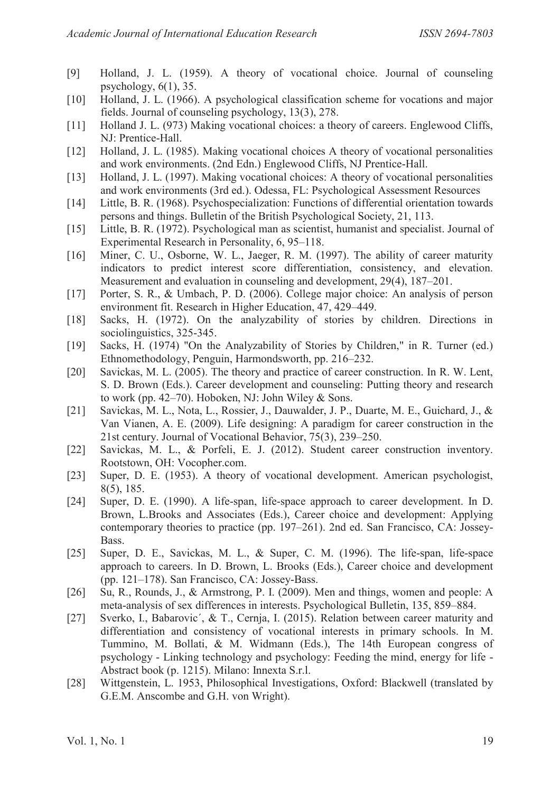- [9] Holland, J. L. (1959). A theory of vocational choice. Journal of counseling psychology,  $6(1)$ , 35.
- [10] Holland, J. L. (1966). A psychological classification scheme for vocations and major fields. Journal of counseling psychology, 13(3), 278.
- [11] Holland J. L. (973) Making vocational choices: a theory of careers. Englewood Cliffs, NJ: Prentice-Hall.
- [12] Holland, J. L. (1985). Making vocational choices A theory of vocational personalities and work environments. (2nd Edn.) Englewood Cliffs, NJ Prentice-Hall.
- [13] Holland, J. L. (1997). Making vocational choices: A theory of vocational personalities and work environments (3rd ed.). Odessa, FL: Psychological Assessment Resources
- [14] Little, B. R. (1968). Psychospecialization: Functions of differential orientation towards persons and things. Bulletin of the British Psychological Society, 21, 113.
- [15] Little, B. R. (1972). Psychological man as scientist, humanist and specialist. Journal of Experimental Research in Personality, 6, 95–118.
- [16] Miner, C. U., Osborne, W. L., Jaeger, R. M. (1997). The ability of career maturity indicators to predict interest score differentiation, consistency, and elevation. Measurement and evaluation in counseling and development, 29(4), 187–201.
- [17] Porter, S. R., & Umbach, P. D. (2006). College major choice: An analysis of person environment fit. Research in Higher Education, 47, 429–449.
- [18] Sacks, H. (1972). On the analyzability of stories by children. Directions in sociolinguistics, 325-345.
- [19] Sacks, H. (1974) "On the Analyzability of Stories by Children," in R. Turner (ed.) Ethnomethodology, Penguin, Harmondsworth, pp. 216–232.
- [20] Savickas, M. L. (2005). The theory and practice of career construction. In R. W. Lent, S. D. Brown (Eds.). Career development and counseling: Putting theory and research to work (pp. 42–70). Hoboken, NJ: John Wiley & Sons.
- [21] Savickas, M. L., Nota, L., Rossier, J., Dauwalder, J. P., Duarte, M. E., Guichard, J., & Van Vianen, A. E. (2009). Life designing: A paradigm for career construction in the 21st century. Journal of Vocational Behavior, 75(3), 239–250.
- [22] Savickas, M. L., & Porfeli, E. J. (2012). Student career construction inventory. Rootstown, OH: Vocopher.com.
- [23] Super, D. E. (1953). A theory of vocational development. American psychologist, 8(5), 185.
- [24] Super, D. E. (1990). A life-span, life-space approach to career development. In D. Brown, L.Brooks and Associates (Eds.), Career choice and development: Applying contemporary theories to practice (pp. 197–261). 2nd ed. San Francisco, CA: Jossey-Bass.
- [25] Super, D. E., Savickas, M. L., & Super, C. M. (1996). The life-span, life-space approach to careers. In D. Brown, L. Brooks (Eds.), Career choice and development (pp. 121–178). San Francisco, CA: Jossey-Bass.
- [26] Su, R., Rounds, J., & Armstrong, P. I. (2009). Men and things, women and people: A meta-analysis of sex differences in interests. Psychological Bulletin, 135, 859–884.
- [27] Sverko, I., Babarovic´, & T., Cernja, I. (2015). Relation between career maturity and differentiation and consistency of vocational interests in primary schools. In M. Tummino, M. Bollati, & M. Widmann (Eds.), The 14th European congress of psychology - Linking technology and psychology: Feeding the mind, energy for life - Abstract book (p. 1215). Milano: Innexta S.r.l.
- [28] Wittgenstein, L. 1953, Philosophical Investigations, Oxford: Blackwell (translated by G.E.M. Anscombe and G.H. von Wright).